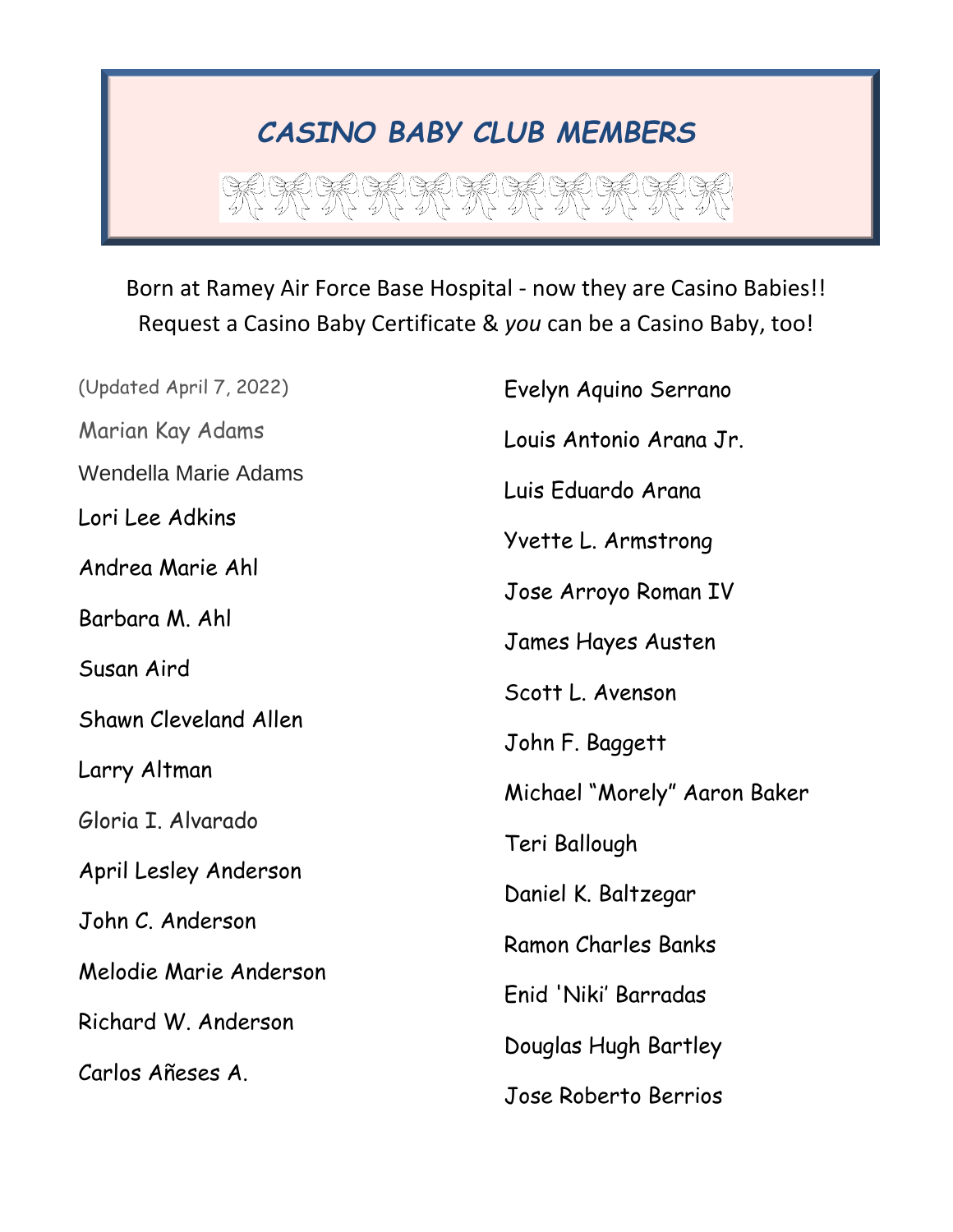## *CASINO BABY CLUB MEMBERS*

第第第第第第第第第第第

## Born at Ramey Air Force Base Hospital - now they are Casino Babies!! Request a Casino Baby Certificate & *you* can be a Casino Baby, too!

| (Updated April 7, 2022)      | Evelyn Aquino Serrano        |
|------------------------------|------------------------------|
| Marian Kay Adams             | Louis Antonio Arana Jr.      |
| <b>Wendella Marie Adams</b>  | Luis Eduardo Arana           |
| Lori Lee Adkins              |                              |
| Andrea Marie Ahl             | Yvette L. Armstrong          |
| Barbara M. Ahl               | Jose Arroyo Roman IV         |
| Susan Aird                   | James Hayes Austen           |
|                              | Scott L. Avenson             |
| <b>Shawn Cleveland Allen</b> | John F. Baggett              |
| Larry Altman                 | Michael "Morely" Aaron Baker |
| Gloria I. Alvarado           | Teri Ballough                |
| April Lesley Anderson        |                              |
| John C. Anderson             | Daniel K. Baltzegar          |
| Melodie Marie Anderson       | Ramon Charles Banks          |
|                              | Enid 'Niki' Barradas         |
| Richard W. Anderson          | Douglas Hugh Bartley         |
| Carlos Añeses A.             | Jose Roberto Berrios         |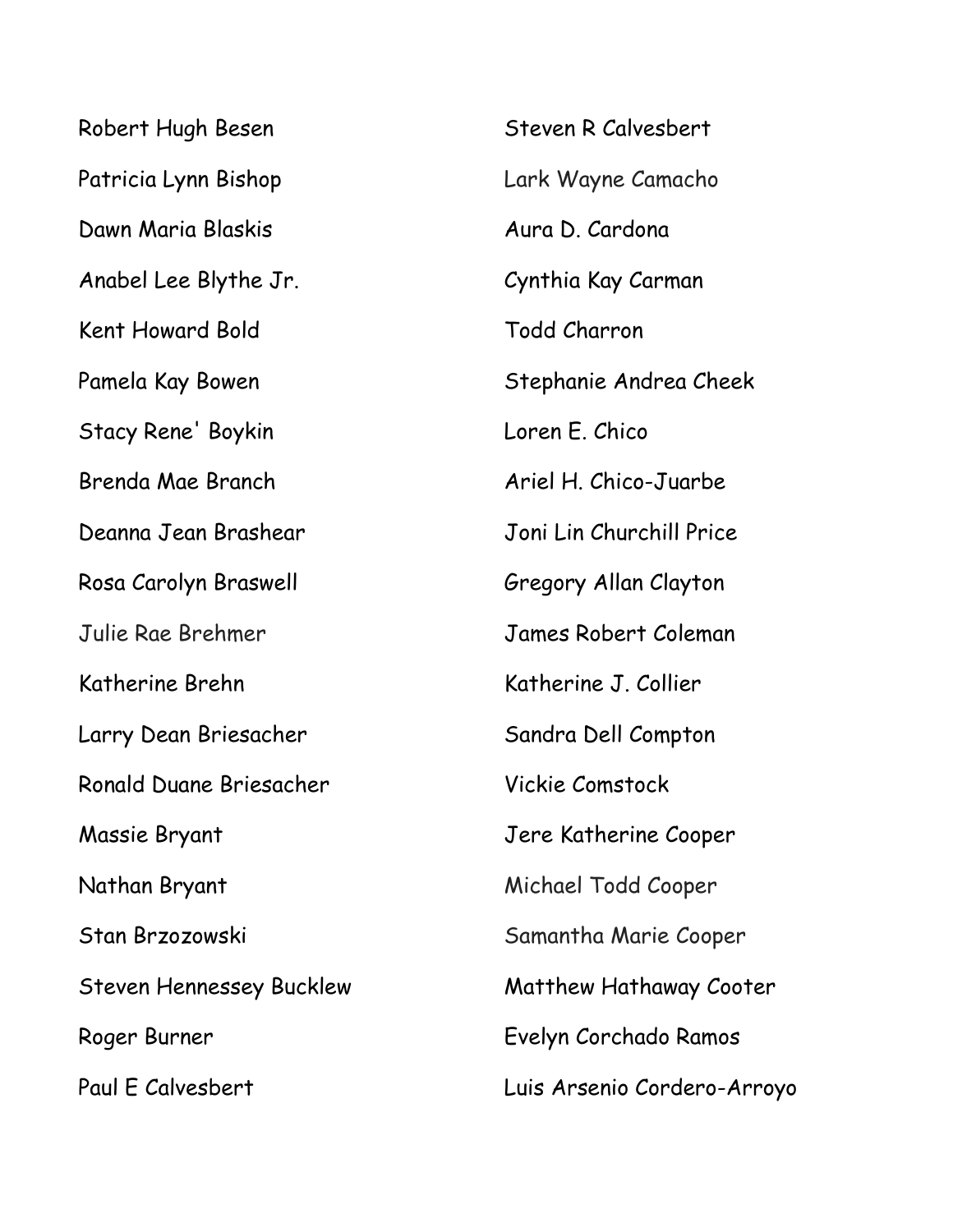Robert Hugh Besen Patricia Lynn Bishop Dawn Maria Blaskis Anabel Lee Blythe Jr. Kent Howard Bold Pamela Kay Bowen Stacy Rene' Boykin Brenda Mae Branch Deanna Jean Brashear Rosa Carolyn Braswell Julie Rae Brehmer Katherine Brehn Larry Dean Briesacher Ronald Duane Briesacher Massie Bryant Nathan Bryant Stan Brzozowski Steven Hennessey Bucklew Roger Burner Paul E Calvesbert

Steven R Calvesbert Lark Wayne Camacho Aura D. Cardona Cynthia Kay Carman Todd Charron Stephanie Andrea Cheek Loren E. Chico Ariel H. Chico-Juarbe Joni Lin Churchill Price Gregory Allan Clayton James Robert Coleman Katherine J. Collier Sandra Dell Compton Vickie Comstock Jere Katherine Cooper Michael Todd Cooper Samantha Marie Cooper Matthew Hathaway Cooter Evelyn Corchado Ramos Luis Arsenio Cordero-Arroyo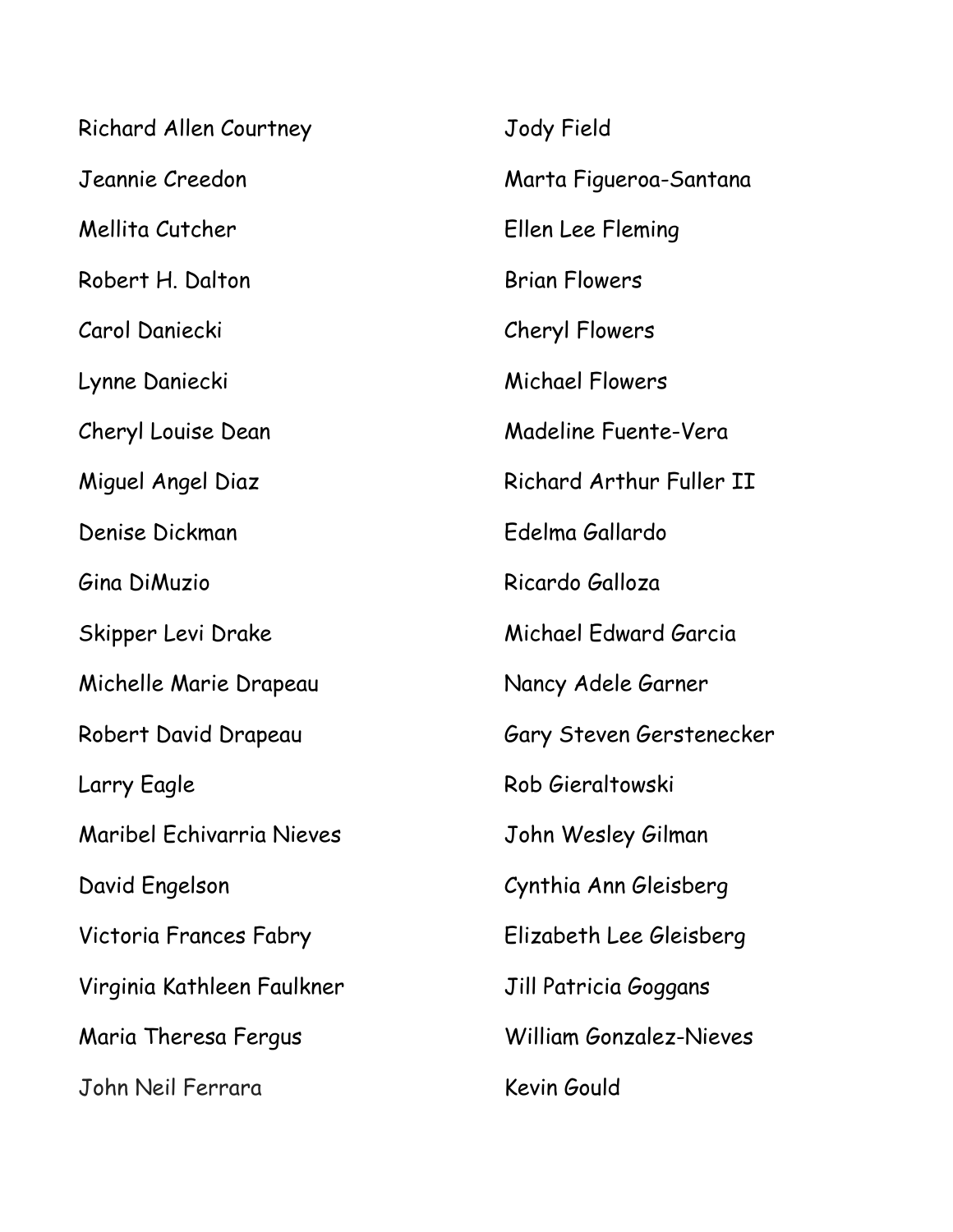| <b>Richard Allen Courtney</b> | Jody Field               |
|-------------------------------|--------------------------|
| Jeannie Creedon               | Marta Figueroa-Santana   |
| Mellita Cutcher               | Ellen Lee Fleming        |
| Robert H. Dalton              | <b>Brian Flowers</b>     |
| Carol Daniecki                | Cheryl Flowers           |
| Lynne Daniecki                | <b>Michael Flowers</b>   |
| Cheryl Louise Dean            | Madeline Fuente-Vera     |
| Miguel Angel Diaz             | Richard Arthur Fuller II |
| Denise Dickman                | Edelma Gallardo          |
| Gina DiMuzio                  | Ricardo Galloza          |
| Skipper Levi Drake            | Michael Edward Garcia    |
| Michelle Marie Drapeau        | Nancy Adele Garner       |
| Robert David Drapeau          | Gary Steven Gerstenecker |
| Larry Eagle                   | Rob Gieraltowski         |
| Maribel Echivarria Nieves     | John Wesley Gilman       |
| David Engelson                | Cynthia Ann Gleisberg    |
| Victoria Frances Fabry        | Elizabeth Lee Gleisberg  |
| Virginia Kathleen Faulkner    | Jill Patricia Goggans    |
| Maria Theresa Fergus          | William Gonzalez-Nieves  |
| John Neil Ferrara             | Kevin Gould              |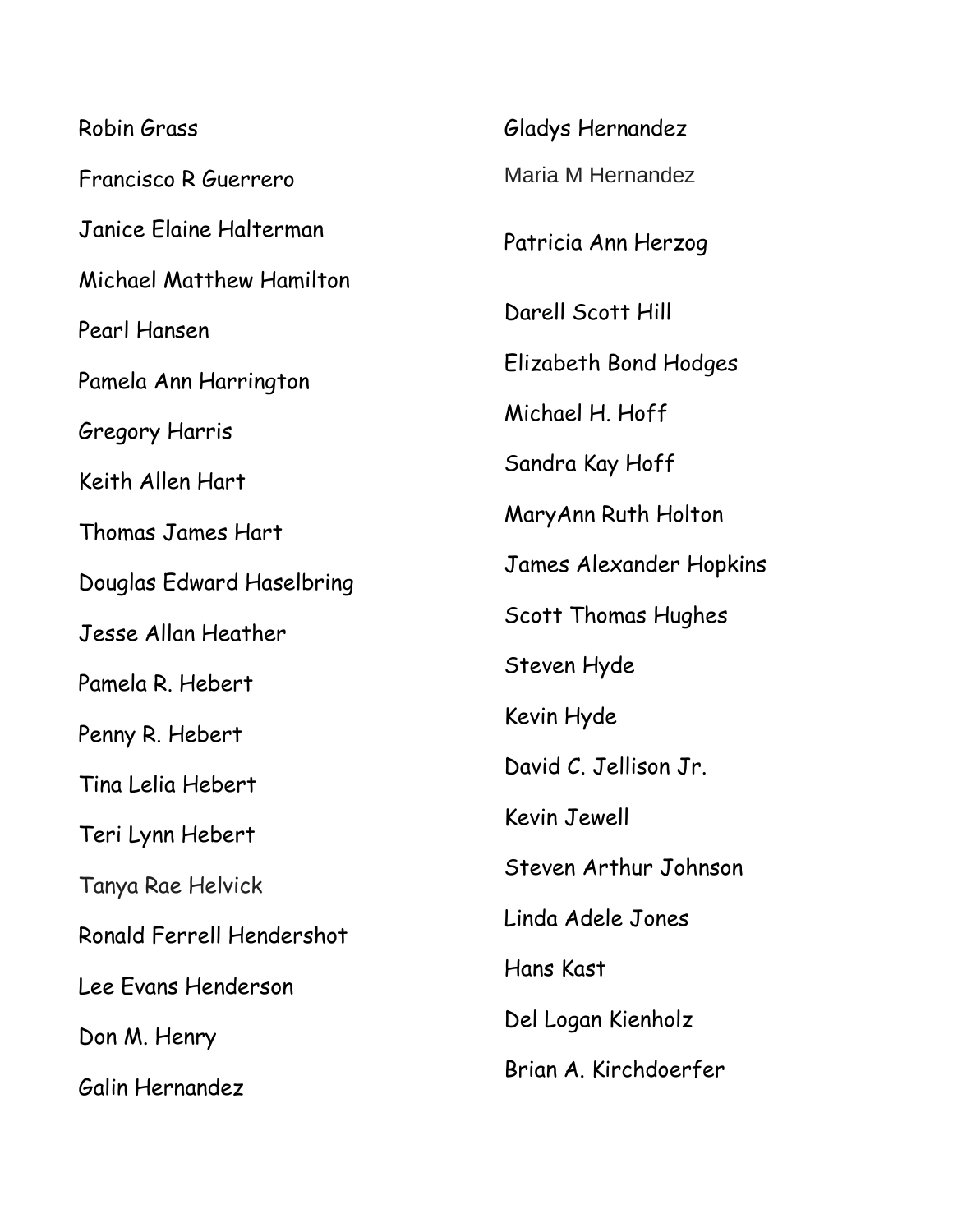Robin Grass Francisco R Guerrero Janice Elaine Halterman Michael Matthew Hamilton Pearl Hansen Pamela Ann Harrington Gregory Harris Keith Allen Hart Thomas James Hart Douglas Edward Haselbring Jesse Allan Heather Pamela R. Hebert Penny R. Hebert Tina Lelia Hebert Teri Lynn Hebert Tanya Rae Helvick Ronald Ferrell Hendershot Lee Evans Henderson Don M. Henry Galin Hernandez

Gladys Hernandez Maria M Hernandez Patricia Ann Herzog Darell Scott Hill Elizabeth Bond Hodges Michael H. Hoff Sandra Kay Hoff MaryAnn Ruth Holton James Alexander Hopkins Scott Thomas Hughes Steven Hyde Kevin Hyde David C. Jellison Jr. Kevin Jewell Steven Arthur Johnson Linda Adele Jones Hans Kast Del Logan Kienholz Brian A. Kirchdoerfer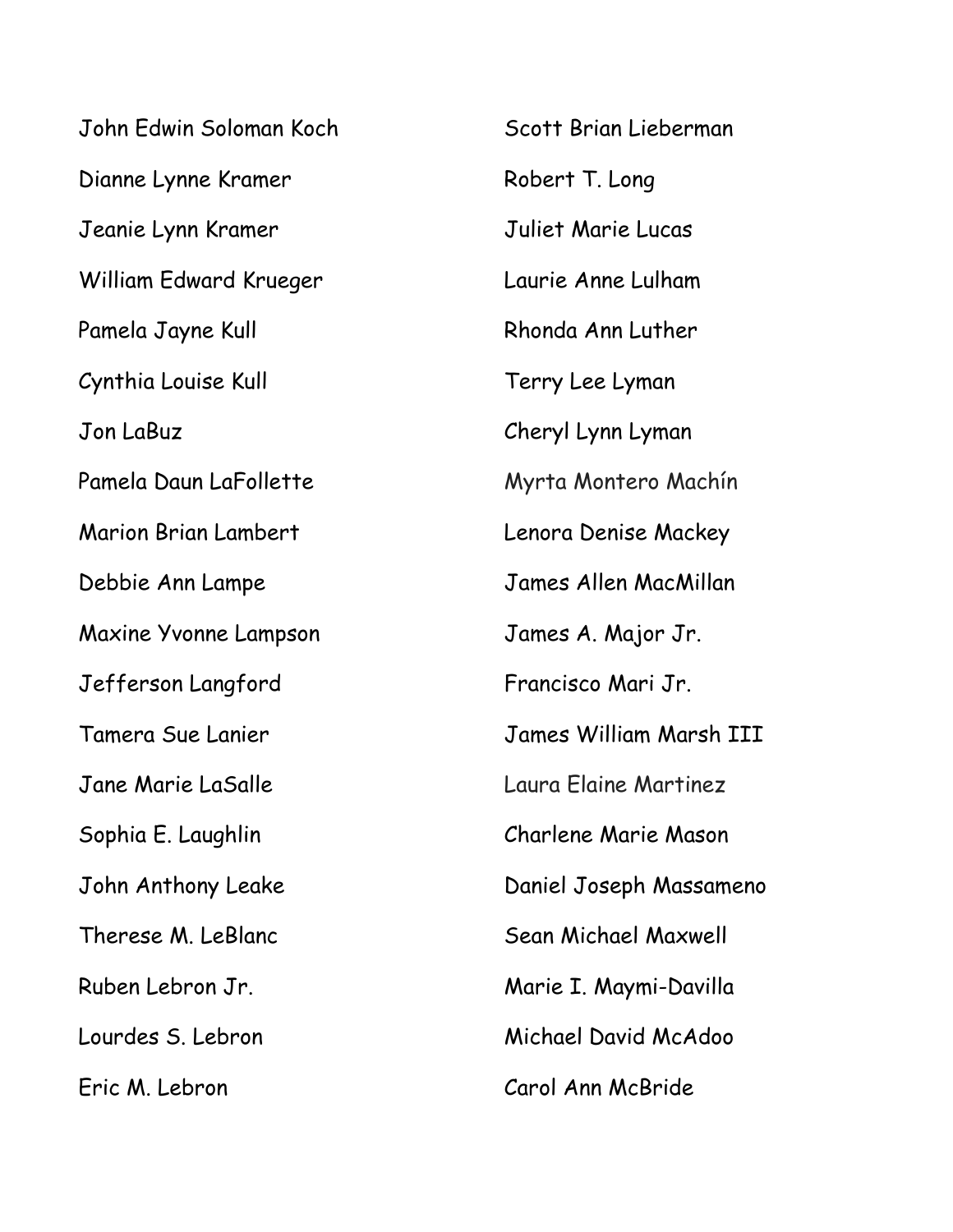John Edwin Soloman Koch Dianne Lynne Kramer Jeanie Lynn Kramer William Edward Krueger Pamela Jayne Kull Cynthia Louise Kull Jon LaBuz Pamela Daun LaFollette Marion Brian Lambert Debbie Ann Lampe Maxine Yvonne Lampson Jefferson Langford Tamera Sue Lanier Jane Marie LaSalle Sophia E. Laughlin John Anthony Leake Therese M. LeBlanc Ruben Lebron Jr. Lourdes S. Lebron Eric M. Lebron

Scott Brian Lieberman Robert T. Long Juliet Marie Lucas Laurie Anne Lulham Rhonda Ann Luther Terry Lee Lyman Cheryl Lynn Lyman Myrta Montero Machín Lenora Denise Mackey James Allen MacMillan James A. Major Jr. Francisco Mari Jr. James William Marsh III Laura Elaine Martinez Charlene Marie Mason Daniel Joseph Massameno Sean Michael Maxwell Marie I. Maymi-Davilla Michael David McAdoo Carol Ann McBride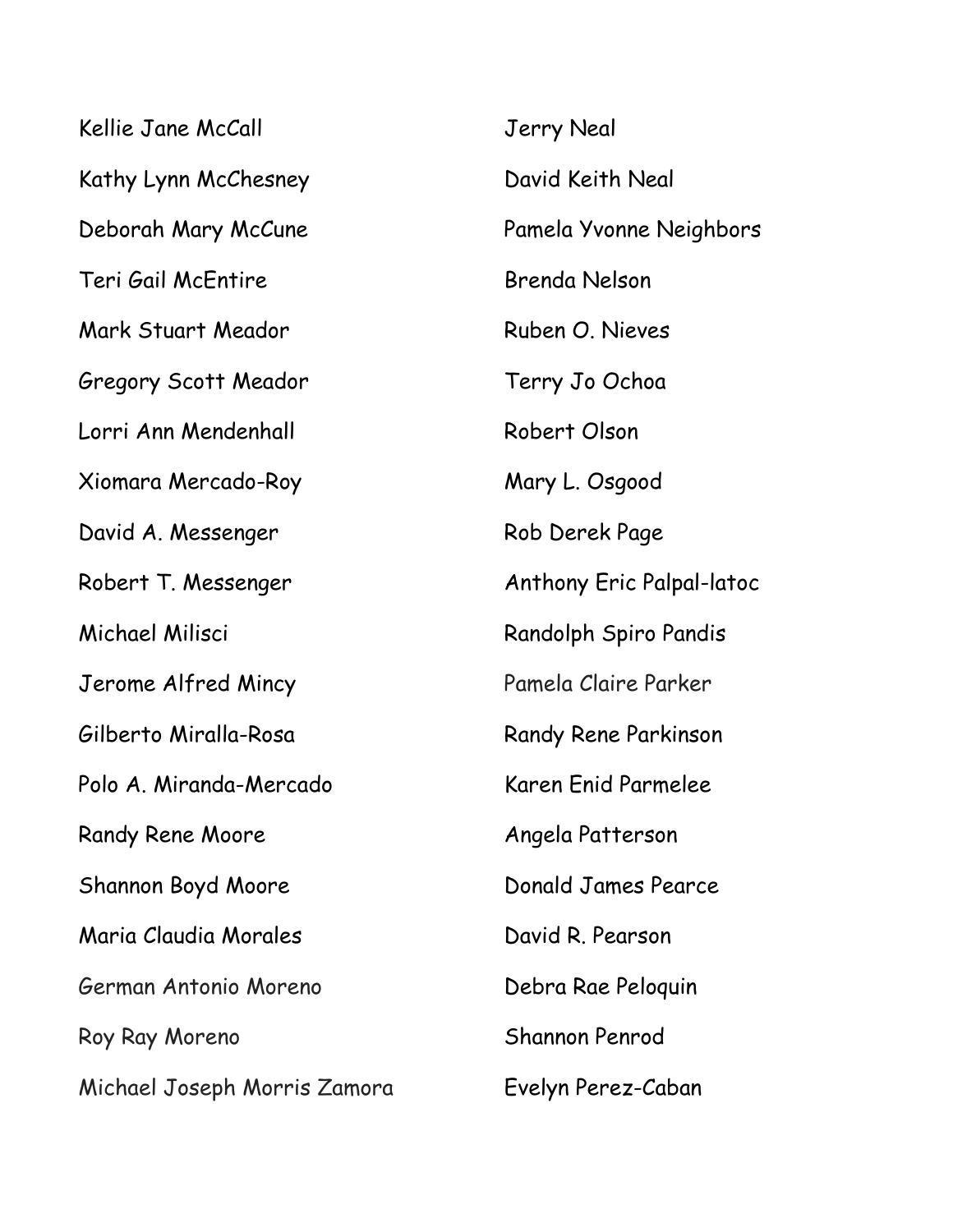| Kellie Jane McCall           | <b>Jerry Neal</b>                |
|------------------------------|----------------------------------|
| Kathy Lynn McChesney         | David Keith Neal                 |
| Deborah Mary McCune          | Pamela Yvonne Neighbors          |
| Teri Gail McEntire           | Brenda Nelson                    |
| Mark Stuart Meador           | Ruben O. Nieves                  |
| Gregory Scott Meador         | Terry Jo Ochoa                   |
| Lorri Ann Mendenhall         | Robert Olson                     |
| Xiomara Mercado-Roy          | Mary L. Osgood                   |
| David A. Messenger           | Rob Derek Page                   |
| Robert T. Messenger          | <b>Anthony Eric Palpal-latoc</b> |
| Michael Milisci              | Randolph Spiro Pandis            |
| Jerome Alfred Mincy          | Pamela Claire Parker             |
| Gilberto Miralla-Rosa        | Randy Rene Parkinson             |
| Polo A. Miranda-Mercado      | Karen Enid Parmelee              |
| <b>Randy Rene Moore</b>      | Angela Patterson                 |
| Shannon Boyd Moore           | Donald James Pearce              |
| Maria Claudia Morales        | David R. Pearson                 |
| German Antonio Moreno        | Debra Rae Peloguin               |
| Roy Ray Moreno               | Shannon Penrod                   |
| Michael Joseph Morris Zamora | Evelyn Perez-Caban               |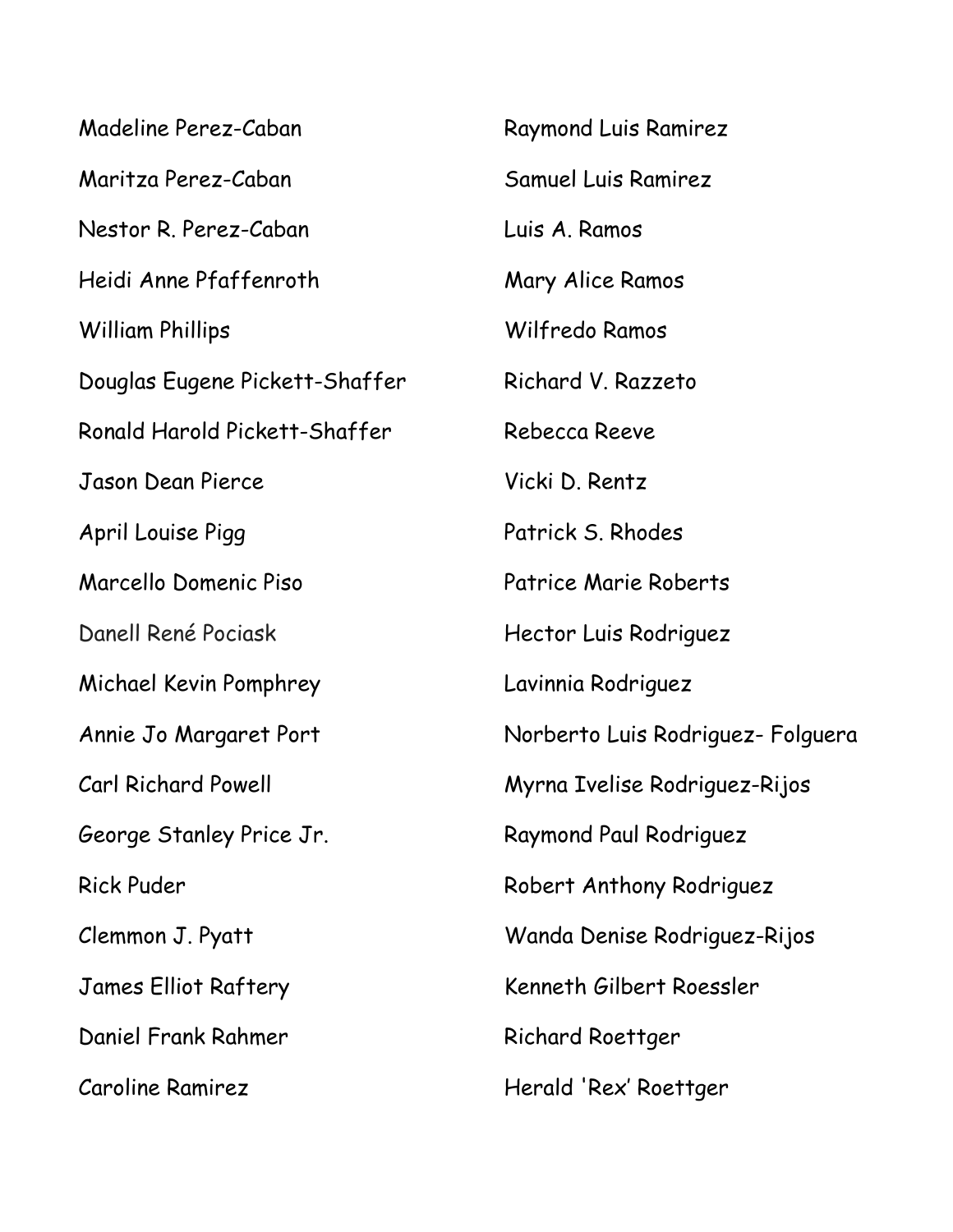| Madeline Perez-Caban           | <b>Raymond Luis Ramirez</b>       |
|--------------------------------|-----------------------------------|
| Maritza Perez-Caban            | <b>Samuel Luis Ramirez</b>        |
| Nestor R. Perez-Caban          | Luis A. Ramos                     |
| Heidi Anne Pfaffenroth         | Mary Alice Ramos                  |
| <b>William Phillips</b>        | Wilfredo Ramos                    |
| Douglas Eugene Pickett-Shaffer | Richard V. Razzeto                |
| Ronald Harold Pickett-Shaffer  | Rebecca Reeve                     |
| Jason Dean Pierce              | Vicki D. Rentz                    |
| April Louise Pigg              | Patrick S. Rhodes                 |
| Marcello Domenic Piso          | Patrice Marie Roberts             |
| Danell René Pociask            | Hector Luis Rodriguez             |
| Michael Kevin Pomphrey         | Lavinnia Rodriguez                |
| Annie Jo Margaret Port         | Norberto Luis Rodriguez- Folguera |
| <b>Carl Richard Powell</b>     | Myrna Ivelise Rodriguez-Rijos     |
| George Stanley Price Jr.       | Raymond Paul Rodriguez            |
| <b>Rick Puder</b>              | Robert Anthony Rodriguez          |
| Clemmon J. Pyatt               | Wanda Denise Rodriguez-Rijos      |
| <b>James Elliot Raftery</b>    | Kenneth Gilbert Roessler          |
| Daniel Frank Rahmer            | Richard Roettger                  |
| <b>Caroline Ramirez</b>        | Herald 'Rex' Roettger             |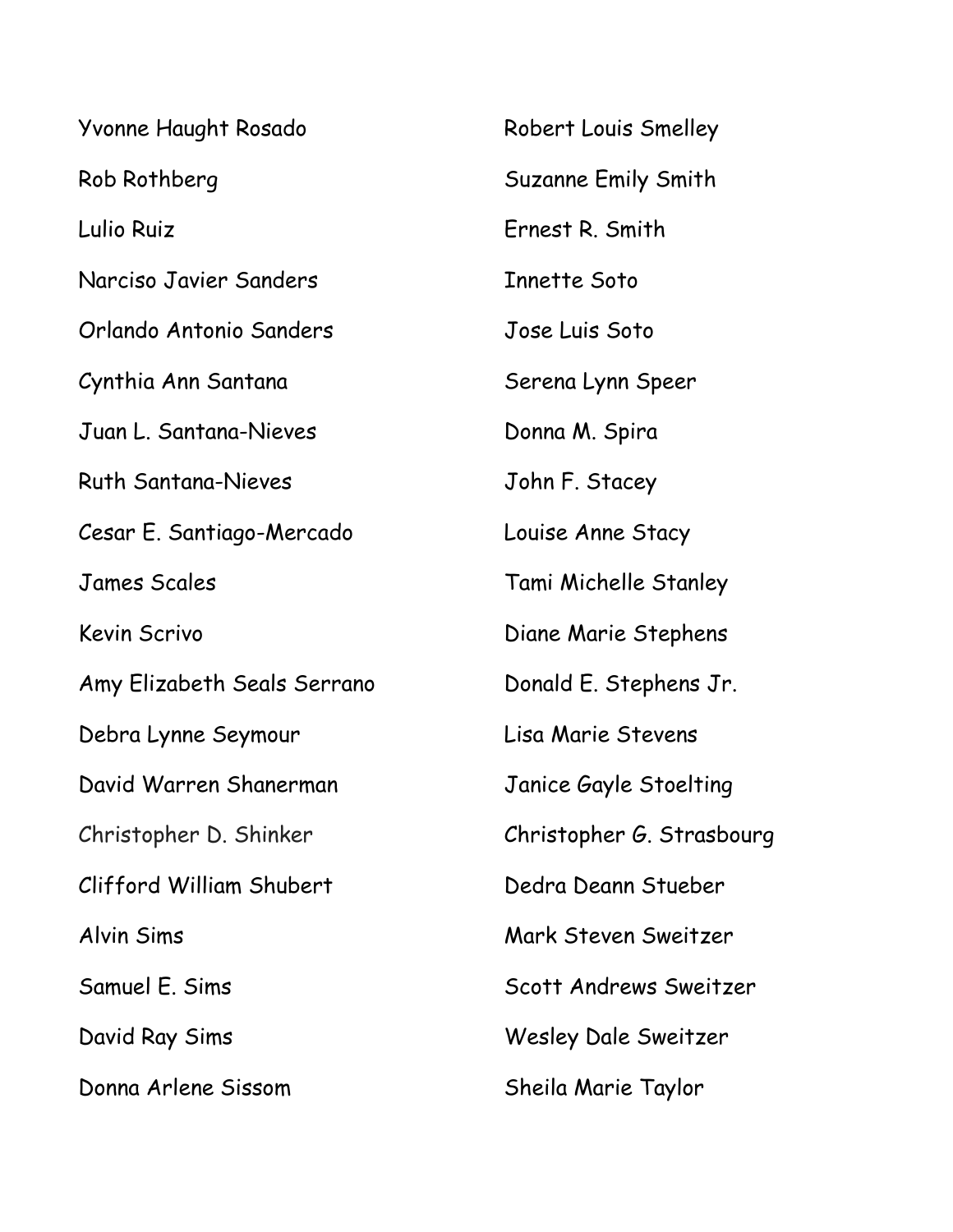| Yvonne Haught Rosado        | Robert Louis Smelley      |
|-----------------------------|---------------------------|
| Rob Rothberg                | Suzanne Emily Smith       |
| Lulio Ruiz                  | Ernest R. Smith           |
| Narciso Javier Sanders      | Innette Soto              |
| Orlando Antonio Sanders     | Jose Luis Soto            |
| Cynthia Ann Santana         | Serena Lynn Speer         |
| Juan L. Santana-Nieves      | Donna M. Spira            |
| <b>Ruth Santana-Nieves</b>  | John F. Stacey            |
| Cesar E. Santiago-Mercado   | Louise Anne Stacy         |
| <b>James Scales</b>         | Tami Michelle Stanley     |
| <b>Kevin Scrivo</b>         | Diane Marie Stephens      |
| Amy Elizabeth Seals Serrano | Donald E. Stephens Jr.    |
| Debra Lynne Seymour         | Lisa Marie Stevens        |
| David Warren Shanerman      | Janice Gayle Stoelting    |
| Christopher D. Shinker      | Christopher G. Strasbourg |
| Clifford William Shubert    | Dedra Deann Stueber       |
| Alvin Sims                  | Mark Steven Sweitzer      |
| Samuel E. Sims              | Scott Andrews Sweitzer    |
| David Ray Sims              | Wesley Dale Sweitzer      |
| Donna Arlene Sissom         | Sheila Marie Taylor       |